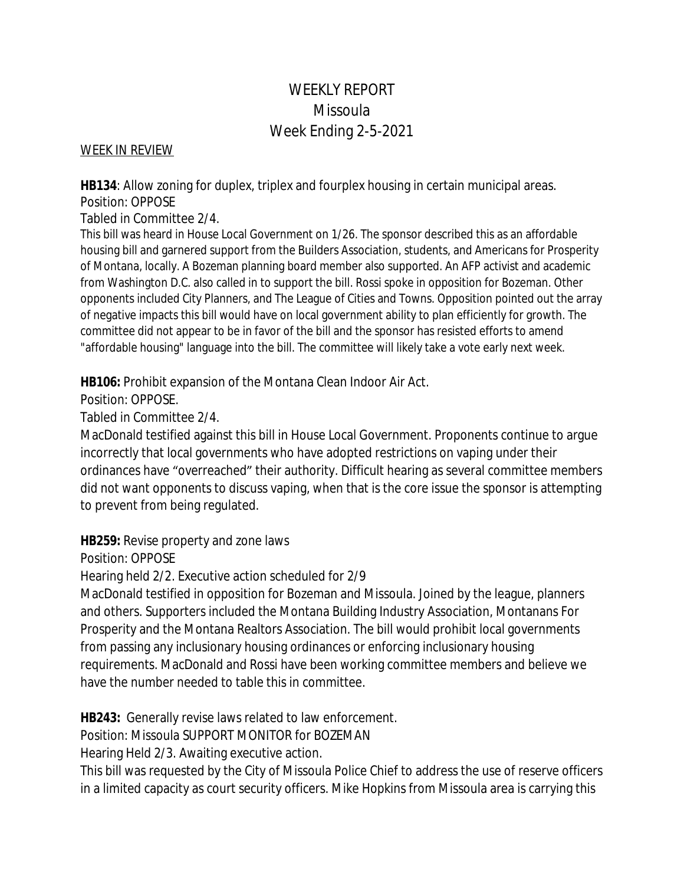# WEEKLY REPORT Missoula Week Ending 2-5-2021

#### WEEK IN REVIEW

**HB134**: Allow zoning for duplex, triplex and fourplex housing in certain municipal areas. Position: OPPOSE

Tabled in Committee 2/4.

This bill was heard in House Local Government on 1/26. The sponsor described this as an affordable housing bill and garnered support from the Builders Association, students, and Americans for Prosperity of Montana, locally. A Bozeman planning board member also supported. An AFP activist and academic from Washington D.C. also called in to support the bill. Rossi spoke in opposition for Bozeman. Other opponents included City Planners, and The League of Cities and Towns. Opposition pointed out the array of negative impacts this bill would have on local government ability to plan efficiently for growth. The committee did not appear to be in favor of the bill and the sponsor has resisted efforts to amend "affordable housing" language into the bill. The committee will likely take a vote early next week.

**HB106:** Prohibit expansion of the Montana Clean Indoor Air Act.

Position: OPPOSE.

Tabled in Committee 2/4.

MacDonald testified against this bill in House Local Government. Proponents continue to argue incorrectly that local governments who have adopted restrictions on vaping under their ordinances have "overreached" their authority. Difficult hearing as several committee members did not want opponents to discuss vaping, when that is the core issue the sponsor is attempting to prevent from being regulated.

**HB259:** Revise property and zone laws

Position: OPPOSE

Hearing held 2/2. Executive action scheduled for 2/9

MacDonald testified in opposition for Bozeman and Missoula. Joined by the league, planners and others. Supporters included the Montana Building Industry Association, Montanans For Prosperity and the Montana Realtors Association. The bill would prohibit local governments from passing any inclusionary housing ordinances or enforcing inclusionary housing requirements. MacDonald and Rossi have been working committee members and believe we have the number needed to table this in committee.

**HB243:** Generally revise laws related to law enforcement.

Position: Missoula SUPPORT MONITOR for BOZEMAN

Hearing Held 2/3. Awaiting executive action.

This bill was requested by the City of Missoula Police Chief to address the use of reserve officers in a limited capacity as court security officers. Mike Hopkins from Missoula area is carrying this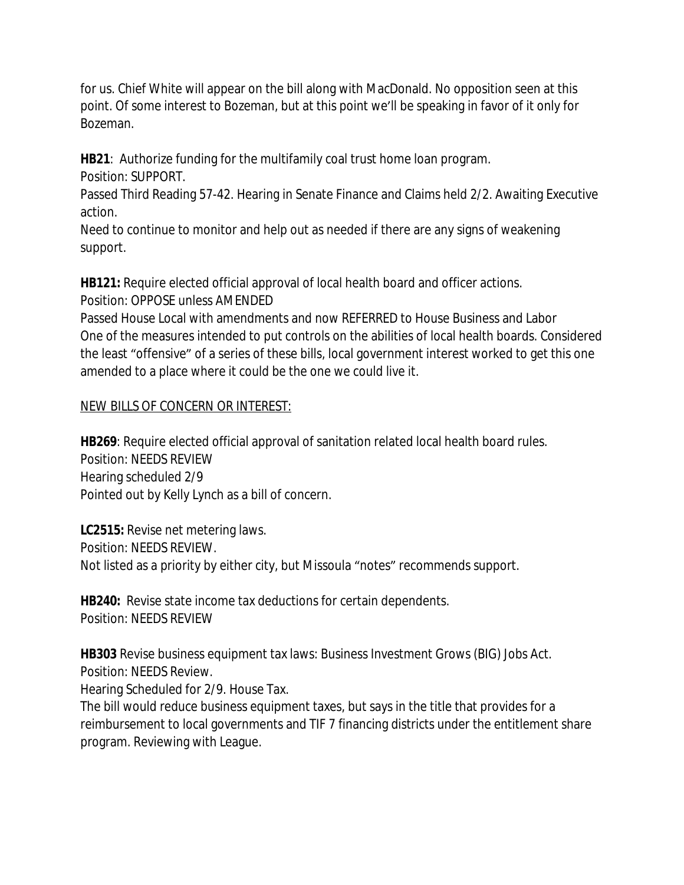for us. Chief White will appear on the bill along with MacDonald. No opposition seen at this point. Of some interest to Bozeman, but at this point we'll be speaking in favor of it only for Bozeman.

**HB21**: Authorize funding for the multifamily coal trust home loan program.

Position: SUPPORT.

Passed Third Reading 57-42. Hearing in Senate Finance and Claims held 2/2. Awaiting Executive action.

Need to continue to monitor and help out as needed if there are any signs of weakening support.

**HB121:** Require elected official approval of local health board and officer actions. Position: OPPOSE unless AMENDED

Passed House Local with amendments and now REFERRED to House Business and Labor One of the measures intended to put controls on the abilities of local health boards. Considered the least "offensive" of a series of these bills, local government interest worked to get this one amended to a place where it could be the one we could live it.

## NEW BILLS OF CONCERN OR INTEREST:

**HB269**: Require elected official approval of sanitation related local health board rules. Position: NEEDS REVIEW Hearing scheduled 2/9 Pointed out by Kelly Lynch as a bill of concern.

**LC2515:** Revise net metering laws. Position: NEEDS REVIEW. Not listed as a priority by either city, but Missoula "notes" recommends support.

**HB240:** Revise state income tax deductions for certain dependents. Position: NEEDS REVIEW

**HB303** Revise business equipment tax laws: Business Investment Grows (BIG) Jobs Act. Position: NEEDS Review.

Hearing Scheduled for 2/9. House Tax.

The bill would reduce business equipment taxes, but says in the title that provides for a reimbursement to local governments and TIF 7 financing districts under the entitlement share program. Reviewing with League.